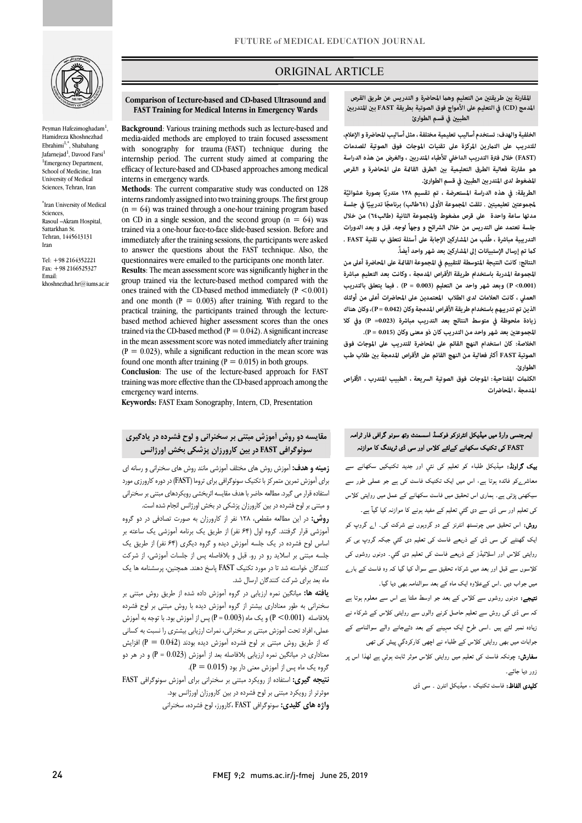

Peyman Hafezimoghadam<sup>1</sup>, Hamidreza Khoshnezhad Ebrahimi<sup>1,\*</sup>, Shabahang Jafarnejad<sup>1</sup>, Davood Farsi<sup>1</sup> <sup>1</sup>Emergency Department, School of Medicine, Iran University of Medical Sciences, Tehran, Iran

\* Iran University of Medical Sciences, Rasoul –Akram Hospital, Sattarkhan St. Tehran, 1445613131 Iran

Tel: +98 2164352221 Fax: +98 2166525327 Email: khoshnezhad.hr@iums.ac.ir

### ORIGINAL ARTICLE

#### **Comparison of Lecture-based and CD-based Ultrasound and FAST Training for Medical Interns in Emergency Wards**

Ī

 **Background**: Various training methods such as lecture-based and with sonography for trauma (FAST) technique during the internship period. The current study aimed at comparing the efficacy of lecture-based and CD-based approaches among medical<br>interes in emergency werds media-aided methods are employed to train focused assessment interns in emergency wards.

 **Methods**: The current comparative study was conducted on 128 interns randomly assigned into two training groups. The first group on CD in a single session, and the second group  $(n = 64)$  was trained via a one-hour face-to-face slide-based session. Before and to answer the questions about the FAST technique. Also, the questionnaires were emailed to the participants one month later. **Results**: The mean assessment score was significantly higher in the ones trained with the CD-based method immediately  $(P < 0.001)$ and one month  $(P = 0.003)$  after training. With regard to the based method achieved higher assessment scores than the ones trained via the CD-based method ( $P = 0.042$ ). A significant increase in the mean assessment score was noted immediately after training found one month after training  $(P = 0.015)$  in both groups.  $(n = 64)$  was trained through a one-hour training program based immediately after the training sessions, the participants were asked group trained via the lecture-based method compared with the practical training, the participants trained through the lecture- $(P = 0.023)$ , while a significant reduction in the mean score was

 **Conclusion**: The use of the lecture-based approach for FAST training was more effective than the CD-based approach among the emergency ward interns.

**Keywords:** FAST Exam Sonography, Intern, CD, Presentation

# **مقایسه دو روش آموزش مبتنی بر سخنرانی و لوح فشرده در یادگیري سونوگرافی FAST در بین کارورزان پزشکی بخش اورژانس**

 **زمینه و هدف:** آموزش روش هاي مختلف آموزشی مانند روش هاي سخنرانی و رسانه اي براي آموزش تمرین متمرکز با تکنیک سونوگرافی براي تروما (FAST (در دوره کارورزي مورد ستنامه براز می بیرد. مساعد احاضر با مدت مدیسه ابراه سبی روی برستان میسی برا<br>و مبتنی بر لوح فشرده در بین کارورزان پزشکی در بخش اورژانس انجام شده است. استفاده قرار می گیرد. مطالعه حاضر با هدف مقایسه اثربخشی رویکردهاي مبتنی بر سخنرانی

 **روش:** در این مطالعه مقطعی، 128 نفر از کارورزان به صورت تصادفی در دو گروه آموزشی قرار گرفتند. گروه اول (64 نفر) از طریق یک برنامه آموزشی یک ساعته بر اساس لوح فشرده در یک جلسه آموزش دیده و گروه دیگري (64 نفر) از طریق یک جلسه مبتنی بر اسلاید رو در رو. قبل و بلافاصله پس از جلسات آموزشی، از شرکت کنندگان خواسته شد تا در مورد تکنیک FAST پاسخ دهند. همچنین، پرسشنامه ها یک ماه بعد براي شرکت کنندگان ارسال شد.

 **یافته ها:** میانگین نمره ارزیابی در گروه آموزش داده شده از طریق روش مبتنی بر بلافاصله (0.001> P (و یک ماه (0.003 = P (پس از آموزش بود. با توجه به آموزش عملی، افراد تحت آموزش مبتنی بر سخنرانی، نمرات ارزیابی بیشتري را نسبت به کسانی که از طریق روش مبتنی بر لوح فشرده آموزش دیده بودند (0.042 = P) افزایش معناداري در میانگین نمره ارزیابی بلافاصله بعد از آموزش (0.023 = P (و در هر دو گروه یک ماه پس از آموزش معنی دار بود (0.015 = P(. سخنرانی به طور معناداري بیشتر از گروه آموزش دیده با روش مبتنی بر لوح فشرده

 **نتیجه گیري:** استفاده از رویکرد مبتنی بر سخنرانی براي آموزش سونوگرافی FAST موثرتر از رویکرد مبتنی بر لوح فشرده در بین کارورزان اورژانس بود. **واژه هاي کلیدي:** سونوگرافی FAST ،کارورز، لوح فشرده، سخنرانی  **المدمج (CD (في التعليم على الأمواج فوق الصوتية بطريقة FAST ب المتدرب**  المقارنة بين طريقتين من التعليم وهما المحاضرة و التدريس عن طريق القرص **الطبي في قسم الطوارئ**

ص

 **الخلفية والهدف: تستخدم أساليب تعليمية مختلفة ، مثل أساليب المحاضرة و الإعلام، للتدريب على الترين المركزة على تقنيات الموجات فوق الصوتية للصدمات (FAST (خلال فترة التدريب الداخلي للأطباء المتدرب ، والغرض من هذه الدراسة المضغوط لدى المتدرب الطبي في قسم الطوارئ.**  هو مقارنة فعالية الطرق التعليمية بن الطرق القامًة على المحاضرة و القرص

.<br>الطريقة: في هذه الدراسة المستعرضة ، تم تقسيم ١٢٨ متدربًا بصورة عشوائيَّة **لجموعتين تعليميتين . تلقت المجموعة الأولى (٦٤طالب) برنامجًا تدريبيًا في جلسة مدتها ساعة واحدة على قرص مضغوط والمجموعة الثانية (طالب٦٤) من خلال جلسة تعتمد على التدريس من خلال الشرائح و وجهاً لوجه. قبل و بعد الدورات ك تم إرسال الإستبيانات إلى المشارك بعد شهر واحد أيضا.ً التدريبية مباشرة ، طُلب من المشارك الإجابة على أسئلة تتعلق ب تقنية FAST .** 

 **النتائج: كانت النتيجة المتوسطة للتقييم في المجموعة القاة على المحاضرة أعلى من المجموعة المدربة باستخدام طريقة الأقراص المدمجة ، وكانت بعد التعليم مباشرة (0.001> P (وبعد شهر واحد من التعليم (0.003 = P (. في يتعلق بالتدريب العملي ، كانت العلامات لدى الطلاب المعتمدين على المحاضرات أعلى من أولئك زيادة ملحوظة في متوسط النتائج بعد التدريب مباشر ة (0.023= P (وفي كلا المجموعت بعد شهر واحد من التدريب كان ذو معنى وكان (0.015 = P(. الذين تم تدريبهم باستخدام طريقة الأقراص المدمجة وكان (0.042 = P(، وكان هناك** 

 **الخلاصة: كان استخدام النهج القائم على المحاضرة للتدريب على الموجات فوق**  الصوتية FAST أكثر فعالية من النهج القائم على الأقراص المدمجة بين طلاب طب **الطوارئ.**

 **الكلت المفتاحية: الموجات فوق الصوتية السريعة ، الطبيب المتدرب ، الأقراص المدمجة ، المحاضرات**

# ۔<br>ایمرجنسی وارڈ میں میڈیکل انٹرنزکو فوکسڈ اسسمنٹ وتھ سونو گرافی فار ٹرامہ ۔<br>FAST کی تکنیک سکھانے کےلئے کلاس اور سی ڈی ٹریننگ کا موازنہ

**یک گراونڈ:** میڈیکل طلباء کو تعلیم کی نئي اور جدید تکنیکیں سکھانے سے<br>۔ معاشرےکو فائدہ ہوتا ہے، اس میں ایک تکنیک فاسٹ کی ہے جو عملی طور سے سیکھنی پڑتی ہے۔ ہماری اس تحقیق میں فاسٹ سکھانے کے عمل میں روایتی کلاس کی تعلیم اور سی ڈی سے دی گئي تعلیم کے مفید ہونے کا موازنہ کیا گیآ ہے۔ ر**وش:** اس تحقیق میں چونسٹھ انٹرنز کے دو گروپوں نے شرکت کی۔ ا<sub>ے</sub> گروپ کو ایک گھنٹے کی سی ڈی کے ذریعے فاسٹ کی تعلیم دی گئي جبکہ گروپ بی کو روایتی کلاس اور اسلائیڈز کے ذریعے فاسٹ کی تعلیم دی گئي۔ دونوں روشوں کی

کلاسوں سے قبل اور بعد میں شرکاء تحقیق سے سوال کیا گیا کہ وہ فاسٹ کے بارے میں جواب دیں ۔اس کےعلاوہ ایک ماہ کے بعد سوالنامہ بھی دیا گیا۔

**تیجے:** دونوں روشوں سے کلاس کے بعد جو اوسط ملتا ہے اس سے معلوم ہوتا ہے کہ سی ڈی کی روش سے تعلیم حاصل کرنے والوں سے روایتی کلاس کے شرکاء نے زیادہ نمبر لئے ہیں ۔اسی طرح ایک مہینے کے بعد دئےجانے والے سوالنامے کے جوابات میں بھی روایتی کلاس کے طلباء نے اچھی کارکردگي پیش کی تھی **سفارش:** چونکہ فاسٹ کی تعلیم میں روایتی کلاس موثر ثابت ہوئي ہے لھذا اس پر زور دیا جائسہ۔

**کلیدی الفاظ:** فاسٹ تکنیک ، میڈیکل انٹرن ۔ سی ڈی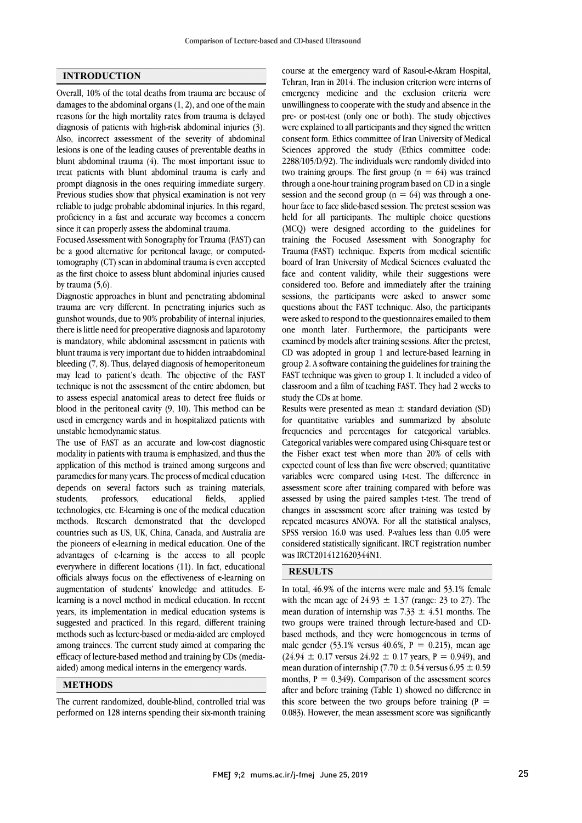### **INTRODUCTION**

Overall, 10% of the total deaths from trauma are because of damages to the abdominal organs (1, 2), and one of the main reasons for the high mortality rates from trauma is delayed diagnosis of patients with high-risk abdominal injuries (3). Also, incorrect assessment of the severity of abdominal lesions is one of the leading causes of preventable deaths in blunt abdominal trauma (4). The most important issue to treat patients with blunt abdominal trauma is early and prompt diagnosis in the ones requiring immediate surgery. Previous studies show that physical examination is not very reliable to judge probable abdominal injuries. In this regard, proficiency in a fast and accurate way becomes a concern since it can properly assess the abdominal trauma.

Focused Assessment with Sonography for Trauma (FAST) can be a good alternative for peritoneal lavage, or computedtomography (CT) scan in abdominal trauma is even accepted as the first choice to assess blunt abdominal injuries caused by trauma (5,6).

Diagnostic approaches in blunt and penetrating abdominal trauma are very different. In penetrating injuries such as gunshot wounds, due to 90% probability of internal injuries, there is little need for preoperative diagnosis and laparotomy is mandatory, while abdominal assessment in patients with blunt trauma is very important due to hidden intraabdominal bleeding (7, 8). Thus, delayed diagnosis of hemoperitoneum may lead to patient's death. The objective of the FAST technique is not the assessment of the entire abdomen, but to assess especial anatomical areas to detect free fluids or blood in the peritoneal cavity (9, 10). This method can be used in emergency wards and in hospitalized patients with unstable hemodynamic status.

The use of FAST as an accurate and low-cost diagnostic modality in patients with trauma is emphasized, and thus the application of this method is trained among surgeons and paramedics for many years. The process of medical education depends on several factors such as training materials, students, professors, educational fields, applied technologies, etc. E-learning is one of the medical education methods. Research demonstrated that the developed countries such as US, UK, China, Canada, and Australia are the pioneers of e-learning in medical education. One of the advantages of e-learning is the access to all people everywhere in different locations (11). In fact, educational officials always focus on the effectiveness of e-learning on augmentation of students' knowledge and attitudes. Elearning is a novel method in medical education. In recent years, its implementation in medical education systems is suggested and practiced. In this regard, different training methods such as lecture-based or media-aided are employed among trainees. The current study aimed at comparing the efficacy of lecture-based method and training by CDs (mediaaided) among medical interns in the emergency wards.

### **METHODS**

The current randomized, double-blind, controlled trial was performed on 128 interns spending their six-month training

 Tehran, Iran in 2014. The inclusion criterion were interns of emergency medicine and the exclusion criteria were unwillingness to cooperate with the study and absence in the pre- or post-test (only one or both). The study objectives consent form. Ethics committee of Iran University of Medical Sciences approved the study (Ethics committee code: 2288/105/D/92). The individuals were randomly divided into two training groups. The first group  $(n = 64)$  was trained session and the second group  $(n = 64)$  was through a onehour face to face slide-based session. The pretest session was held for all participants. The multiple choice questions (MCQ) were designed according to the guidelines for Trauma (FAST) technique. Experts from medical scientific board of Iran University of Medical Sciences evaluated the face and content validity, while their suggestions were considered too. Before and immediately after the training questions about the FAST technique. Also, the participants were asked to respond to the questionnaires emailed to them one month later. Furthermore, the participants were examined by models after training sessions. After the pretest, group 2. A software containing the guidelines for training the group 2. A software containing the guidelines for training the FAST technique was given to group 1. It included a video of classroom and a film of teaching FAST. They had 2 weeks to study the CDs at home. course at the emergency ward of Rasoul-e-Akram Hospital, were explained to all participants and they signed the written through a one-hour training program based on CD in a single training the Focused Assessment with Sonography for sessions, the participants were asked to answer some CD was adopted in group 1 and lecture-based learning in

for quantitative variables and summarized by absolute frequencies and percentages for categorical variables. Categorical variables were compared using Chi-square test or the Fisher exact test when more than 20% of cells with variables were compared using t-test. The difference in assessment score after training compared with before was assessed by using the paired samples t-test. The trend of changes in assessment score after training was tested by SPSS version 16.0 was used. P-values less than 0.05 were considered statistically significant. IRCT registration number was IRCT2014121620344N1. Results were presented as mean  $\pm$  standard deviation (SD) expected count of less than five were observed; quantitative repeated measures ANOVA. For all the statistical analyses,

## **RESULTS**

 In total, 46.9% of the interns were male and 53.1% female with the mean age of  $24.93 \pm 1.37$  (range: 23 to 27). The mean duration of internship was  $7.33 \pm 4.51$  months. The two groups were trained through lecture-based and CDmale gender  $(53.1\%$  versus  $40.6\%$ ,  $P = 0.215$ ), mean age  $(24.94 \pm 0.17 \text{ versus } 24.92 \pm 0.17 \text{ years}, P = 0.949)$ , and mean duration of internship (7.70  $\pm$  0.54 versus 6.95  $\pm$  0.59 months,  $P = 0.349$ . Comparison of the assessment scores this score between the two groups before training  $(P =$  0.083). However, the mean assessment score was significantly based methods, and they were homogeneous in terms of after and before training (Table 1) showed no difference in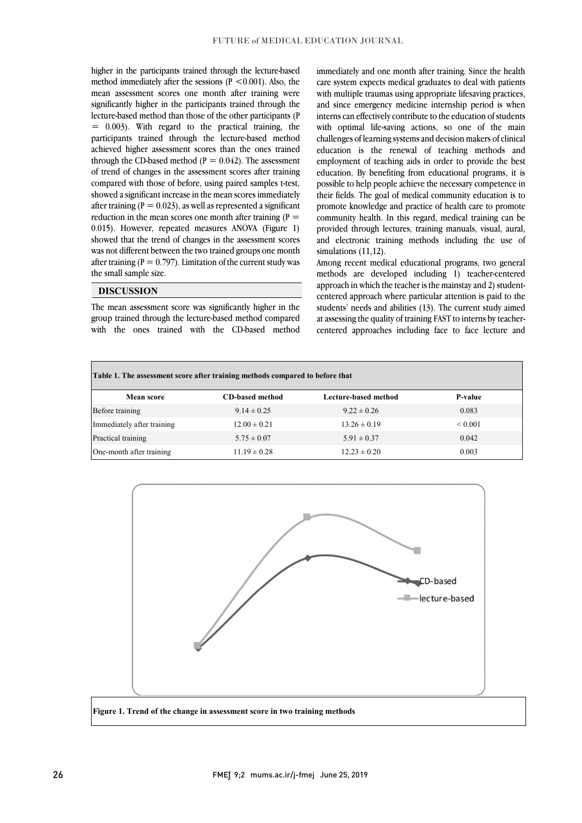method immediately after the sessions  $(P < 0.001)$ . Also, the mean assessment scores one month after training were significantly higher in the participants trained through the lecture-based method than those of the other participants (P participants trained through the lecture-based method achieved higher assessment scores than the ones trained through the CD-based method ( $P = 0.042$ ). The assessment of trend of changes in the assessment scores after training showed a significant increase in the mean scores immediately after training ( $P = 0.023$ ), as well as represented a significant reduction in the mean scores one month after training  $(P =$  0.015). However, repeated measures ANOVA (Figure 1) was not different between the two trained groups one month after training ( $P = 0.797$ ). Limitation of the current study was higher in the participants trained through the lecture-based  $= 0.003$ ). With regard to the practical training, the compared with those of before, using paired samples t-test, showed that the trend of changes in the assessment scores the small sample size.

### **DISCUSSION**

 The mean assessment score was significantly higher in the group trained through the lecture-based method compared with the ones trained with the CD-based method

miniculately and one month after training, since the heath care system expects medical graduates to deal with patients with multiple traumas using appropriate lifesaving practices, and since emergency medicine internship period is when interns can effectively contribute to the education of students with optimal life-saving actions, so one of the main education is the renewal of teaching methods and employment of teaching aids in order to provide the best education. By benefiting from educational programs, it is possible to help people at the increasaly completed in their fields. The goal of medical community education is to promote knowledge and practice of health care to promote community health. In this regard, medical training can be provided through lectures, training manuals, visual, aural, and electronic training methods including the use of immediately and one month after training. Since the health challenges of learning systems and decision makers of clinical possible to help people achieve the necessary competence in simulations (11,12).

 Among recent medical educational programs, two general methods are developed including 1) teacher-centered approach in which the teacher is the mainstay and 2) studentstudents' needs and abilities (13). The current study aimed at assessing the quality of training FAST to interns by teacher- centered approaches including face to face lecture and centered approach where particular attention is paid to the

 $\overline{a}$ 

 $\overline{a}$ 

| Table 1. The assessment score after training methods compared to before that |                        |                      |                   |
|------------------------------------------------------------------------------|------------------------|----------------------|-------------------|
| <b>Mean score</b>                                                            | <b>CD-based method</b> | Lecture-based method | <b>P-value</b>    |
| Before training                                                              | $9.14 \pm 0.25$        | $9.22 \pm 0.26$      | 0.083             |
| Immediately after training                                                   | $12.00 \pm 0.21$       | $13.26 \pm 0.19$     | ${}_{\leq 0.001}$ |
| Practical training                                                           | $5.75 \pm 0.07$        | $5.91 \pm 0.37$      | 0.042             |
| One-month after training                                                     | $11.19 \pm 0.28$       | $12.23 \pm 0.20$     | 0.003             |

 $\overline{a}$ 



**Figure 1. Trend of the change in assessment score in two training methods**

j